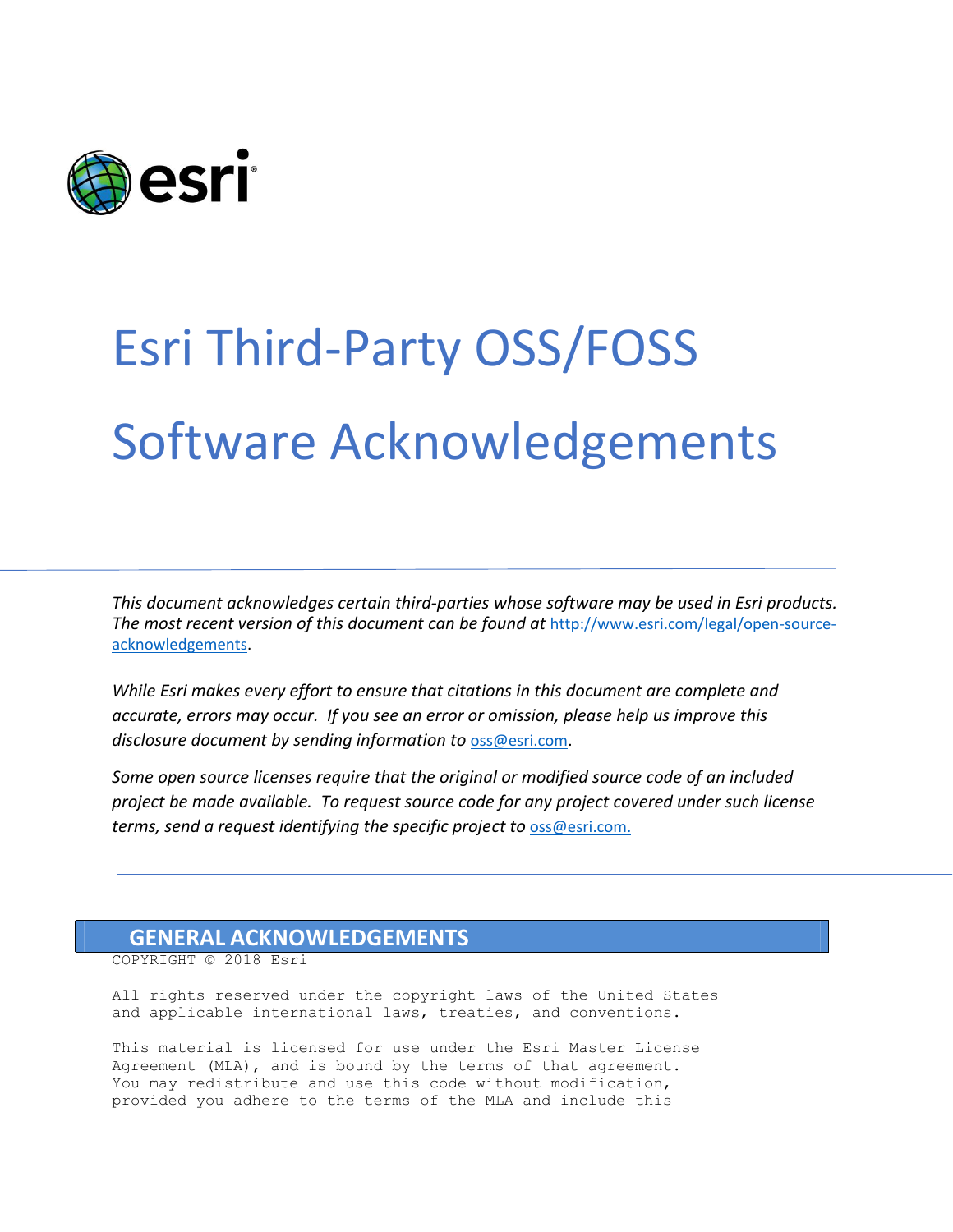

## Esri Third-Party OSS/FOSS Software Acknowledgements

*This document acknowledges certain third‐parties whose software may be used in Esri products. The most recent version of this document can be found at* [http://www.esri.com/legal/open-source](http://www.esri.com/legal/open-source-acknowledgements)[acknowledgements.](http://www.esri.com/legal/open-source-acknowledgements)

*While Esri makes every effort to ensure that citations in this document are complete and accurate, errors may occur. If you see an error or omission, please help us improve this disclosure document by sending information to* [oss@esri.com.](mailto:oss@esri.com)

*Some open source licenses require that the original or modified source code of an included project be made available. To request source code for any project covered under such license terms, send a request identifying the specific project to* [oss@esri.com.](mailto:oss@esri.com)

## **GENERAL ACKNOWLEDGEMENTS**

COPYRIGHT © 2018 Esri

All rights reserved under the copyright laws of the United States and applicable international laws, treaties, and conventions.

This material is licensed for use under the Esri Master License Agreement (MLA), and is bound by the terms of that agreement. You may redistribute and use this code without modification, provided you adhere to the terms of the MLA and include this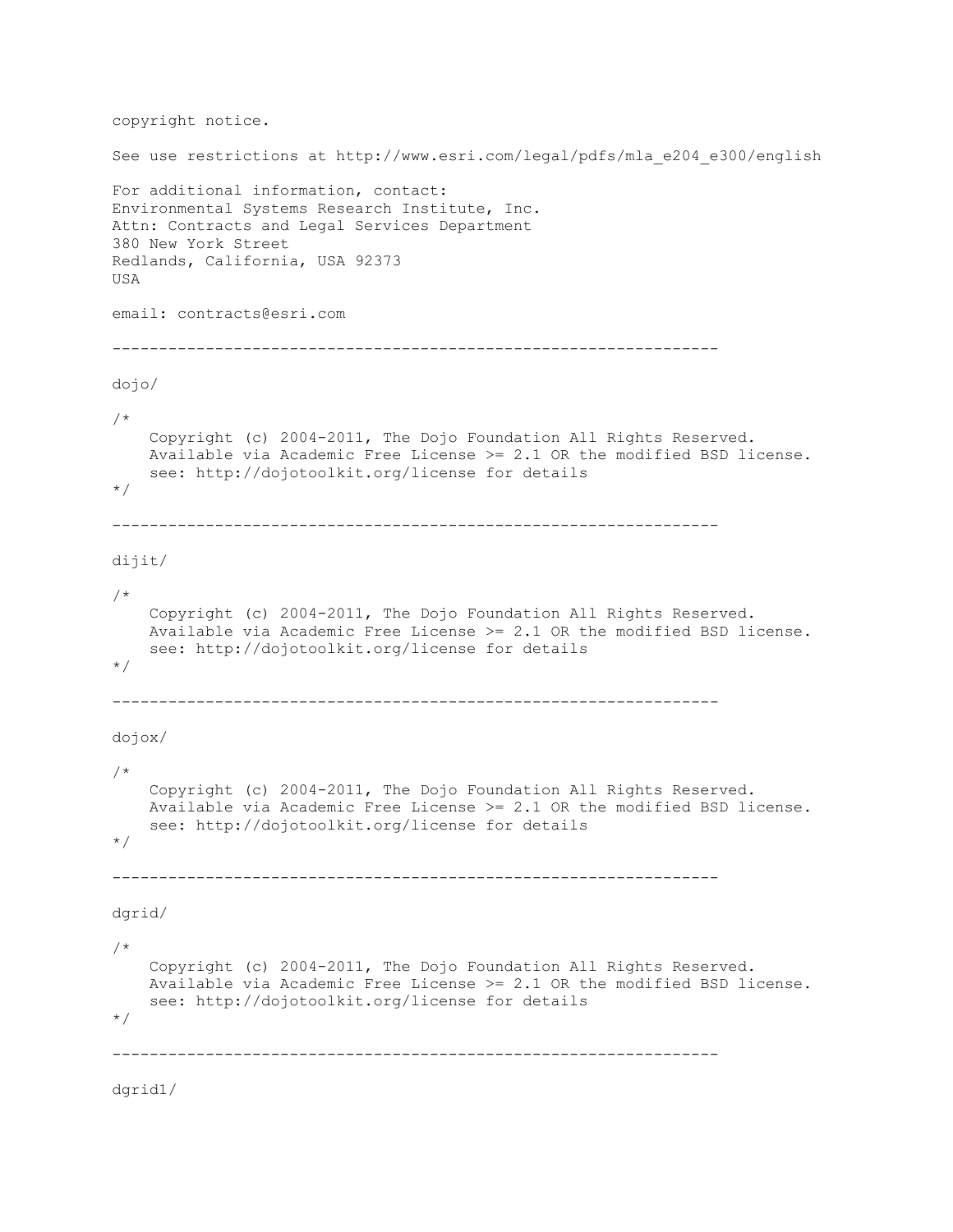```
copyright notice.
See use restrictions at http://www.esri.com/legal/pdfs/mla_e204_e300/english
For additional information, contact:
Environmental Systems Research Institute, Inc.
Attn: Contracts and Legal Services Department
380 New York Street
Redlands, California, USA 92373
USA
email: contracts@esri.com
-----------------------------------------------------------------
dojo/
/*
     Copyright (c) 2004-2011, The Dojo Foundation All Rights Reserved.
     Available via Academic Free License >= 2.1 OR the modified BSD license.
     see: http://dojotoolkit.org/license for details
*/
-----------------------------------------------------------------
dijit/
/*
     Copyright (c) 2004-2011, The Dojo Foundation All Rights Reserved.
     Available via Academic Free License >= 2.1 OR the modified BSD license.
     see: http://dojotoolkit.org/license for details
*/
-----------------------------------------------------------------
dojox/
/*
     Copyright (c) 2004-2011, The Dojo Foundation All Rights Reserved.
    Available via Academic Free License >= 2.1 OR the modified BSD license.
     see: http://dojotoolkit.org/license for details
*/
-----------------------------------------------------------------
dgrid/
/*
     Copyright (c) 2004-2011, The Dojo Foundation All Rights Reserved.
     Available via Academic Free License >= 2.1 OR the modified BSD license.
     see: http://dojotoolkit.org/license for details
*/
-----------------------------------------------------------------
```
dgrid1/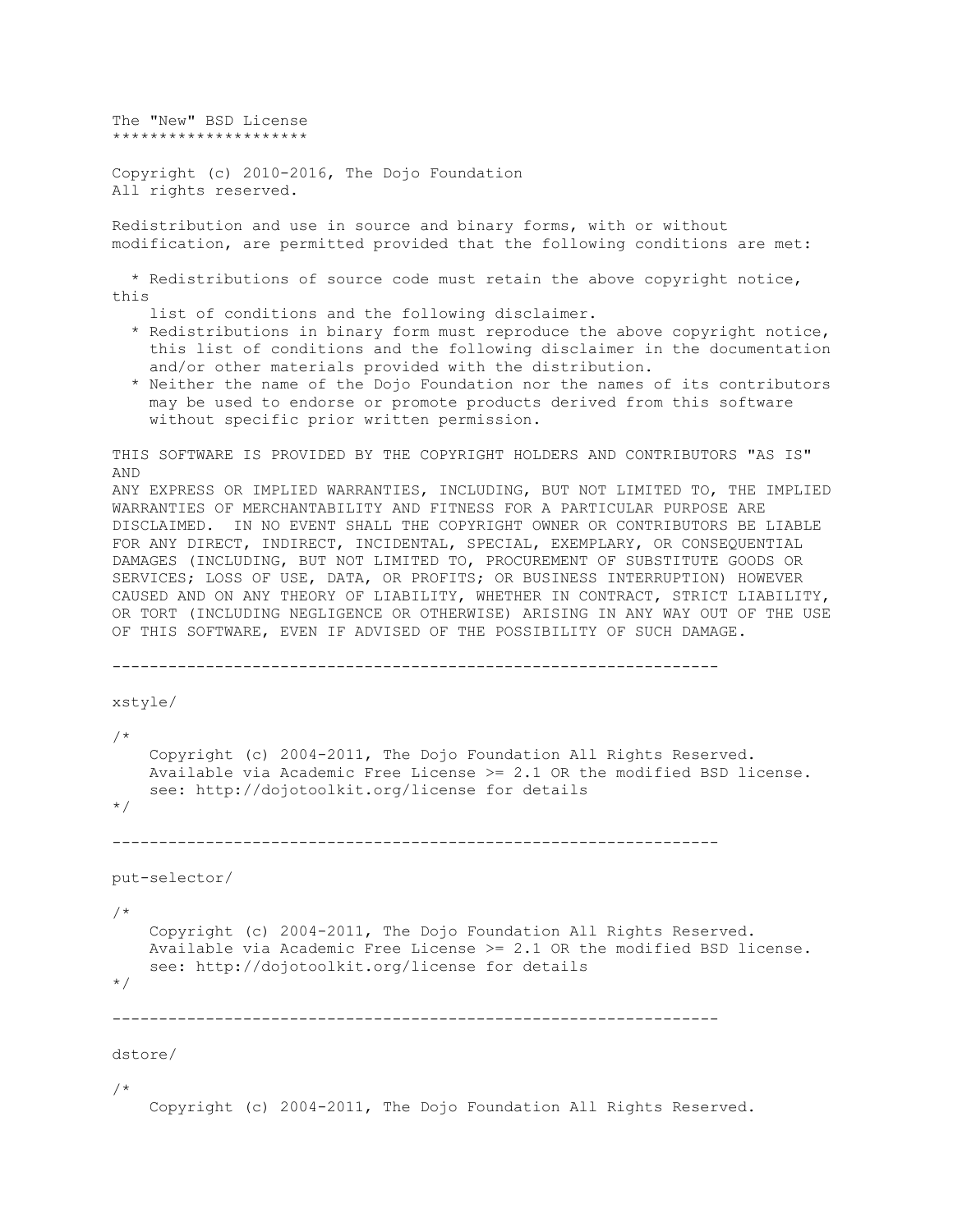The "New" BSD License \*\*\*\*\*\*\*\*\*\*\*\*\*\*\*\*\*\*\*\*\*

Copyright (c) 2010-2016, The Dojo Foundation All rights reserved.

Redistribution and use in source and binary forms, with or without modification, are permitted provided that the following conditions are met:

 \* Redistributions of source code must retain the above copyright notice, this

list of conditions and the following disclaimer.

 \* Redistributions in binary form must reproduce the above copyright notice, this list of conditions and the following disclaimer in the documentation and/or other materials provided with the distribution.

 \* Neither the name of the Dojo Foundation nor the names of its contributors may be used to endorse or promote products derived from this software without specific prior written permission.

THIS SOFTWARE IS PROVIDED BY THE COPYRIGHT HOLDERS AND CONTRIBUTORS "AS IS" AND

ANY EXPRESS OR IMPLIED WARRANTIES, INCLUDING, BUT NOT LIMITED TO, THE IMPLIED WARRANTIES OF MERCHANTABILITY AND FITNESS FOR A PARTICULAR PURPOSE ARE DISCLAIMED. IN NO EVENT SHALL THE COPYRIGHT OWNER OR CONTRIBUTORS BE LIABLE FOR ANY DIRECT, INDIRECT, INCIDENTAL, SPECIAL, EXEMPLARY, OR CONSEQUENTIAL DAMAGES (INCLUDING, BUT NOT LIMITED TO, PROCUREMENT OF SUBSTITUTE GOODS OR SERVICES; LOSS OF USE, DATA, OR PROFITS; OR BUSINESS INTERRUPTION) HOWEVER CAUSED AND ON ANY THEORY OF LIABILITY, WHETHER IN CONTRACT, STRICT LIABILITY, OR TORT (INCLUDING NEGLIGENCE OR OTHERWISE) ARISING IN ANY WAY OUT OF THE USE OF THIS SOFTWARE, EVEN IF ADVISED OF THE POSSIBILITY OF SUCH DAMAGE.

```
-----------------------------------------------------------------
```

```
xstyle/
/*
     Copyright (c) 2004-2011, The Dojo Foundation All Rights Reserved.
     Available via Academic Free License >= 2.1 OR the modified BSD license.
     see: http://dojotoolkit.org/license for details
*/
-----------------------------------------------------------------
put-selector/
/*
     Copyright (c) 2004-2011, The Dojo Foundation All Rights Reserved.
     Available via Academic Free License >= 2.1 OR the modified BSD license.
     see: http://dojotoolkit.org/license for details
*/
 -----------------------------------------------------------------
dstore/
```
/\*

Copyright (c) 2004-2011, The Dojo Foundation All Rights Reserved.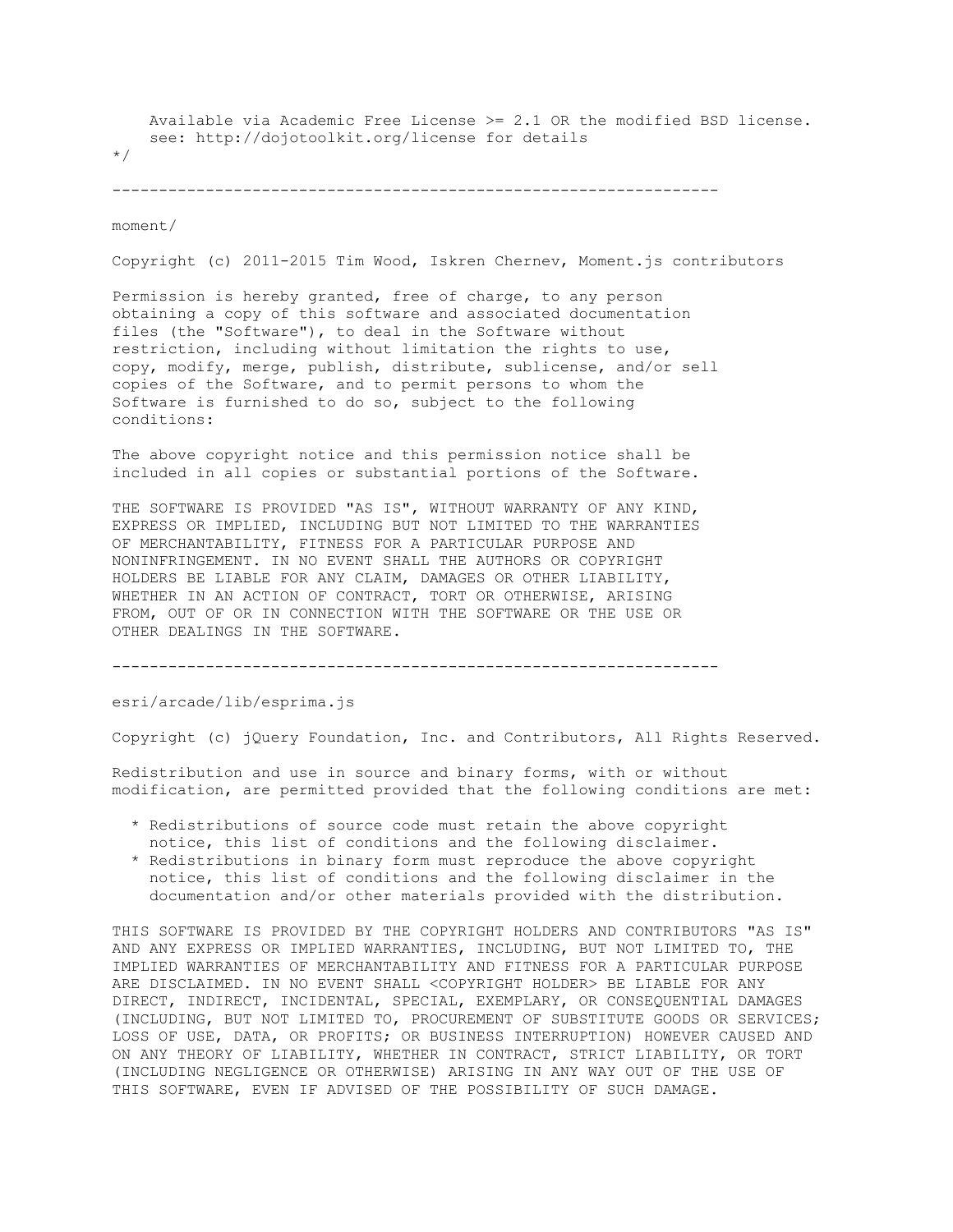```
 Available via Academic Free License >= 2.1 OR the modified BSD license.
     see: http://dojotoolkit.org/license for details
*/
```

```
-----------------------------------------------------------------
```
moment/

Copyright (c) 2011-2015 Tim Wood, Iskren Chernev, Moment.js contributors

Permission is hereby granted, free of charge, to any person obtaining a copy of this software and associated documentation files (the "Software"), to deal in the Software without restriction, including without limitation the rights to use, copy, modify, merge, publish, distribute, sublicense, and/or sell copies of the Software, and to permit persons to whom the Software is furnished to do so, subject to the following conditions:

The above copyright notice and this permission notice shall be included in all copies or substantial portions of the Software.

THE SOFTWARE IS PROVIDED "AS IS", WITHOUT WARRANTY OF ANY KIND, EXPRESS OR IMPLIED, INCLUDING BUT NOT LIMITED TO THE WARRANTIES OF MERCHANTABILITY, FITNESS FOR A PARTICULAR PURPOSE AND NONINFRINGEMENT. IN NO EVENT SHALL THE AUTHORS OR COPYRIGHT HOLDERS BE LIABLE FOR ANY CLAIM, DAMAGES OR OTHER LIABILITY, WHETHER IN AN ACTION OF CONTRACT, TORT OR OTHERWISE, ARISING FROM, OUT OF OR IN CONNECTION WITH THE SOFTWARE OR THE USE OR OTHER DEALINGS IN THE SOFTWARE.

-----------------------------------------------------------------

esri/arcade/lib/esprima.js

Copyright (c) jQuery Foundation, Inc. and Contributors, All Rights Reserved.

Redistribution and use in source and binary forms, with or without modification, are permitted provided that the following conditions are met:

- \* Redistributions of source code must retain the above copyright notice, this list of conditions and the following disclaimer.
- \* Redistributions in binary form must reproduce the above copyright notice, this list of conditions and the following disclaimer in the documentation and/or other materials provided with the distribution.

THIS SOFTWARE IS PROVIDED BY THE COPYRIGHT HOLDERS AND CONTRIBUTORS "AS IS" AND ANY EXPRESS OR IMPLIED WARRANTIES, INCLUDING, BUT NOT LIMITED TO, THE IMPLIED WARRANTIES OF MERCHANTABILITY AND FITNESS FOR A PARTICULAR PURPOSE ARE DISCLAIMED. IN NO EVENT SHALL <COPYRIGHT HOLDER> BE LIABLE FOR ANY DIRECT, INDIRECT, INCIDENTAL, SPECIAL, EXEMPLARY, OR CONSEQUENTIAL DAMAGES (INCLUDING, BUT NOT LIMITED TO, PROCUREMENT OF SUBSTITUTE GOODS OR SERVICES; LOSS OF USE, DATA, OR PROFITS; OR BUSINESS INTERRUPTION) HOWEVER CAUSED AND ON ANY THEORY OF LIABILITY, WHETHER IN CONTRACT, STRICT LIABILITY, OR TORT (INCLUDING NEGLIGENCE OR OTHERWISE) ARISING IN ANY WAY OUT OF THE USE OF THIS SOFTWARE, EVEN IF ADVISED OF THE POSSIBILITY OF SUCH DAMAGE.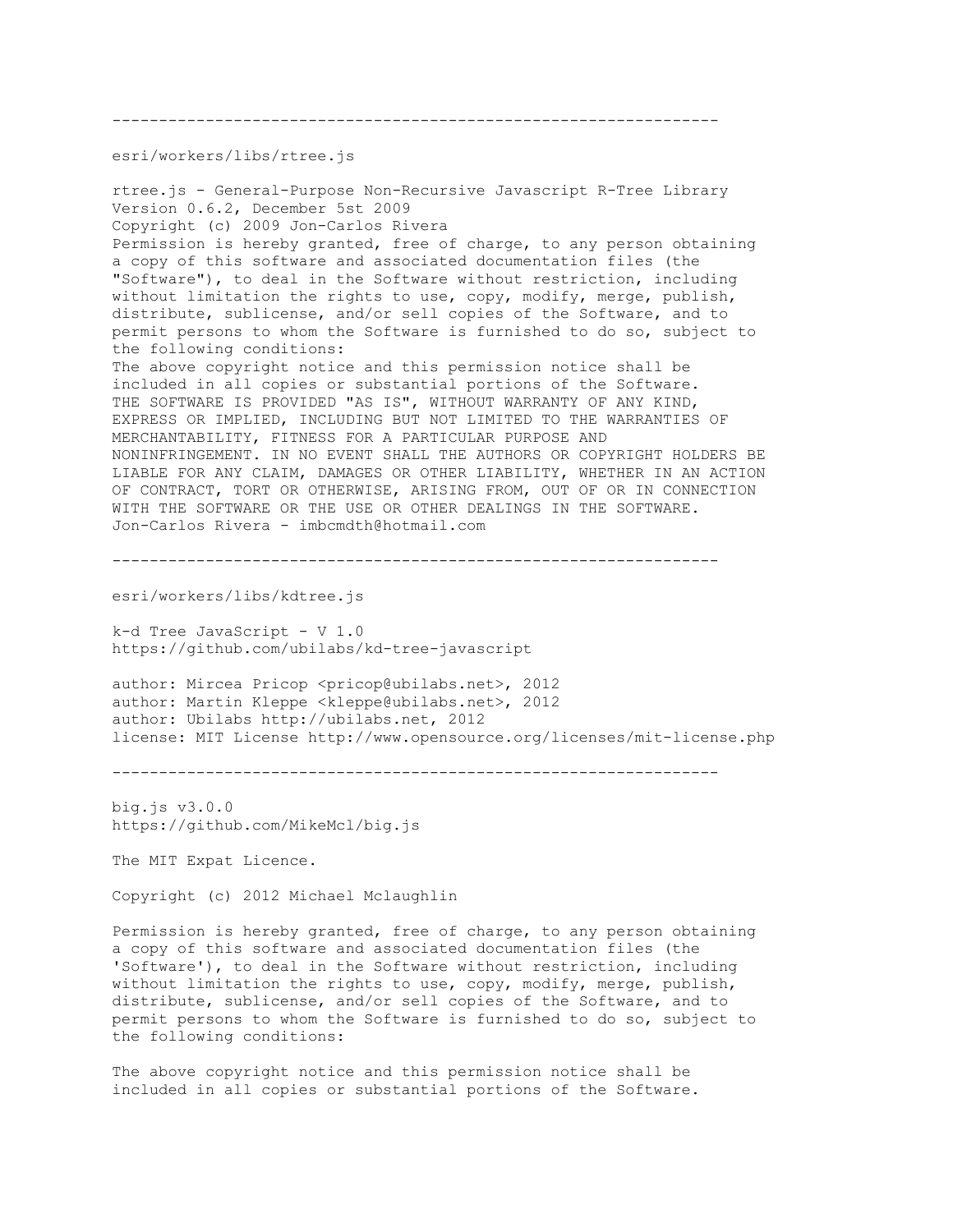---------------------------------------------------------------- esri/workers/libs/rtree.js rtree.js - General-Purpose Non-Recursive Javascript R-Tree Library Version 0.6.2, December 5st 2009 Copyright (c) 2009 Jon-Carlos Rivera Permission is hereby granted, free of charge, to any person obtaining a copy of this software and associated documentation files (the "Software"), to deal in the Software without restriction, including without limitation the rights to use, copy, modify, merge, publish, distribute, sublicense, and/or sell copies of the Software, and to permit persons to whom the Software is furnished to do so, subject to the following conditions: The above copyright notice and this permission notice shall be included in all copies or substantial portions of the Software. THE SOFTWARE IS PROVIDED "AS IS", WITHOUT WARRANTY OF ANY KIND, EXPRESS OR IMPLIED, INCLUDING BUT NOT LIMITED TO THE WARRANTIES OF MERCHANTABILITY, FITNESS FOR A PARTICULAR PURPOSE AND NONINFRINGEMENT. IN NO EVENT SHALL THE AUTHORS OR COPYRIGHT HOLDERS BE LIABLE FOR ANY CLAIM, DAMAGES OR OTHER LIABILITY, WHETHER IN AN ACTION OF CONTRACT, TORT OR OTHERWISE, ARISING FROM, OUT OF OR IN CONNECTION WITH THE SOFTWARE OR THE USE OR OTHER DEALINGS IN THE SOFTWARE. Jon-Carlos Rivera - imbcmdth@hotmail.com

-----------------------------------------------------------------

esri/workers/libs/kdtree.js

k-d Tree JavaScript - V 1.0 https://github.com/ubilabs/kd-tree-javascript

author: Mircea Pricop <pricop@ubilabs.net>, 2012 author: Martin Kleppe <kleppe@ubilabs.net>, 2012 author: Ubilabs http://ubilabs.net, 2012 license: MIT License http://www.opensource.org/licenses/mit-license.php

-----------------------------------------------------------------

big.js v3.0.0 https://github.com/MikeMcl/big.js

The MIT Expat Licence.

Copyright (c) 2012 Michael Mclaughlin

Permission is hereby granted, free of charge, to any person obtaining a copy of this software and associated documentation files (the 'Software'), to deal in the Software without restriction, including without limitation the rights to use, copy, modify, merge, publish, distribute, sublicense, and/or sell copies of the Software, and to permit persons to whom the Software is furnished to do so, subject to the following conditions:

The above copyright notice and this permission notice shall be included in all copies or substantial portions of the Software.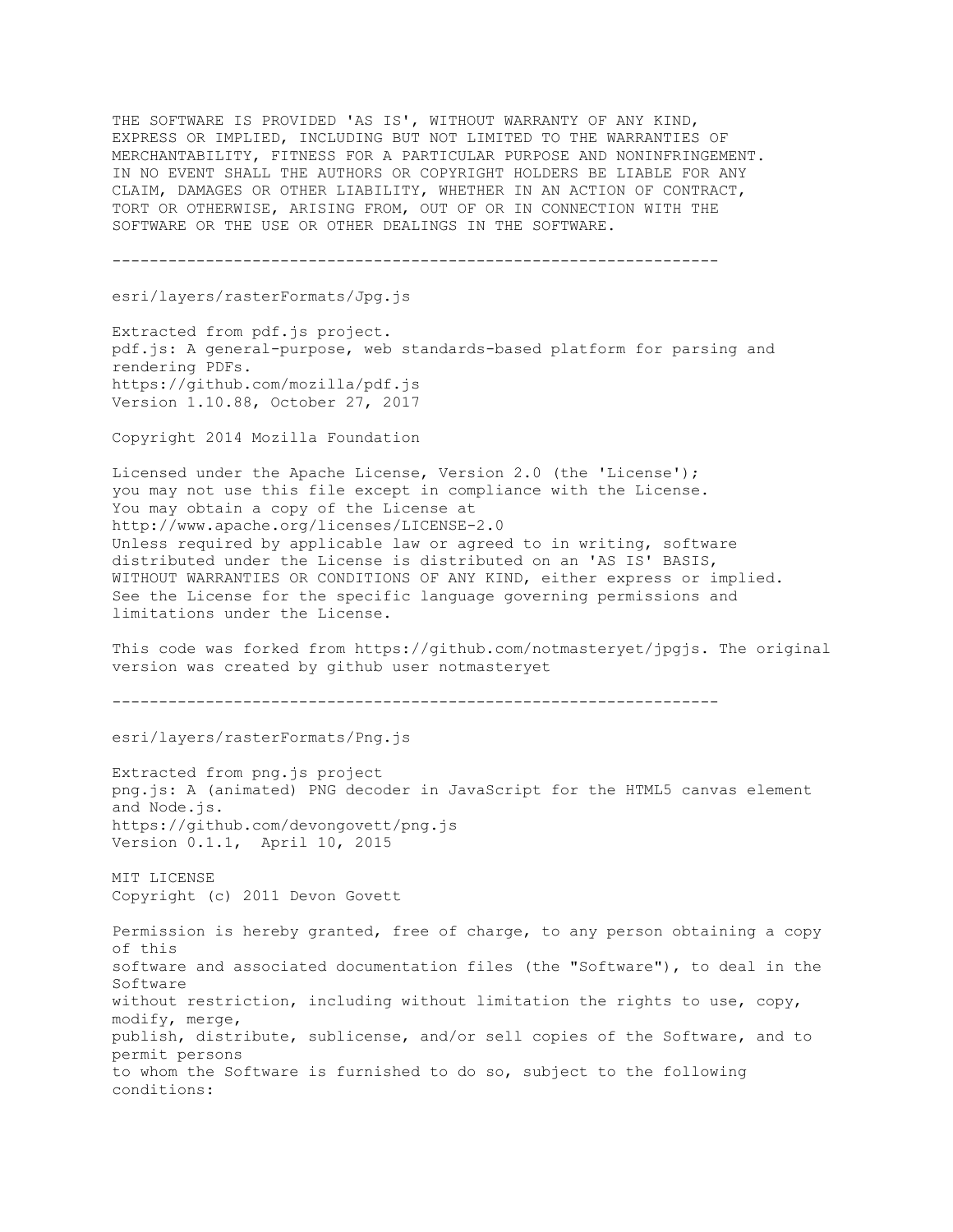THE SOFTWARE IS PROVIDED 'AS IS', WITHOUT WARRANTY OF ANY KIND, EXPRESS OR IMPLIED, INCLUDING BUT NOT LIMITED TO THE WARRANTIES OF MERCHANTABILITY, FITNESS FOR A PARTICULAR PURPOSE AND NONINFRINGEMENT. IN NO EVENT SHALL THE AUTHORS OR COPYRIGHT HOLDERS BE LIABLE FOR ANY CLAIM, DAMAGES OR OTHER LIABILITY, WHETHER IN AN ACTION OF CONTRACT, TORT OR OTHERWISE, ARISING FROM, OUT OF OR IN CONNECTION WITH THE SOFTWARE OR THE USE OR OTHER DEALINGS IN THE SOFTWARE.

-----------------------------------------------------------------

esri/layers/rasterFormats/Jpg.js

Extracted from pdf.js project. pdf.js: A general-purpose, web standards-based platform for parsing and rendering PDFs. https://github.com/mozilla/pdf.js Version 1.10.88, October 27, 2017

Copyright 2014 Mozilla Foundation

Licensed under the Apache License, Version 2.0 (the 'License'); you may not use this file except in compliance with the License. You may obtain a copy of the License at http://www.apache.org/licenses/LICENSE-2.0 Unless required by applicable law or agreed to in writing, software distributed under the License is distributed on an 'AS IS' BASIS, WITHOUT WARRANTIES OR CONDITIONS OF ANY KIND, either express or implied. See the License for the specific language governing permissions and limitations under the License.

This code was forked from https://github.com/notmasteryet/jpgjs. The original version was created by github user notmasteryet

-----------------------------------------------------------------

esri/layers/rasterFormats/Png.js

Extracted from png.js project png.js: A (animated) PNG decoder in JavaScript for the HTML5 canvas element and Node.js. https://github.com/devongovett/png.js Version 0.1.1, April 10, 2015

MIT LICENSE Copyright (c) 2011 Devon Govett

Permission is hereby granted, free of charge, to any person obtaining a copy of this software and associated documentation files (the "Software"), to deal in the Software without restriction, including without limitation the rights to use, copy, modify, merge, publish, distribute, sublicense, and/or sell copies of the Software, and to permit persons to whom the Software is furnished to do so, subject to the following conditions: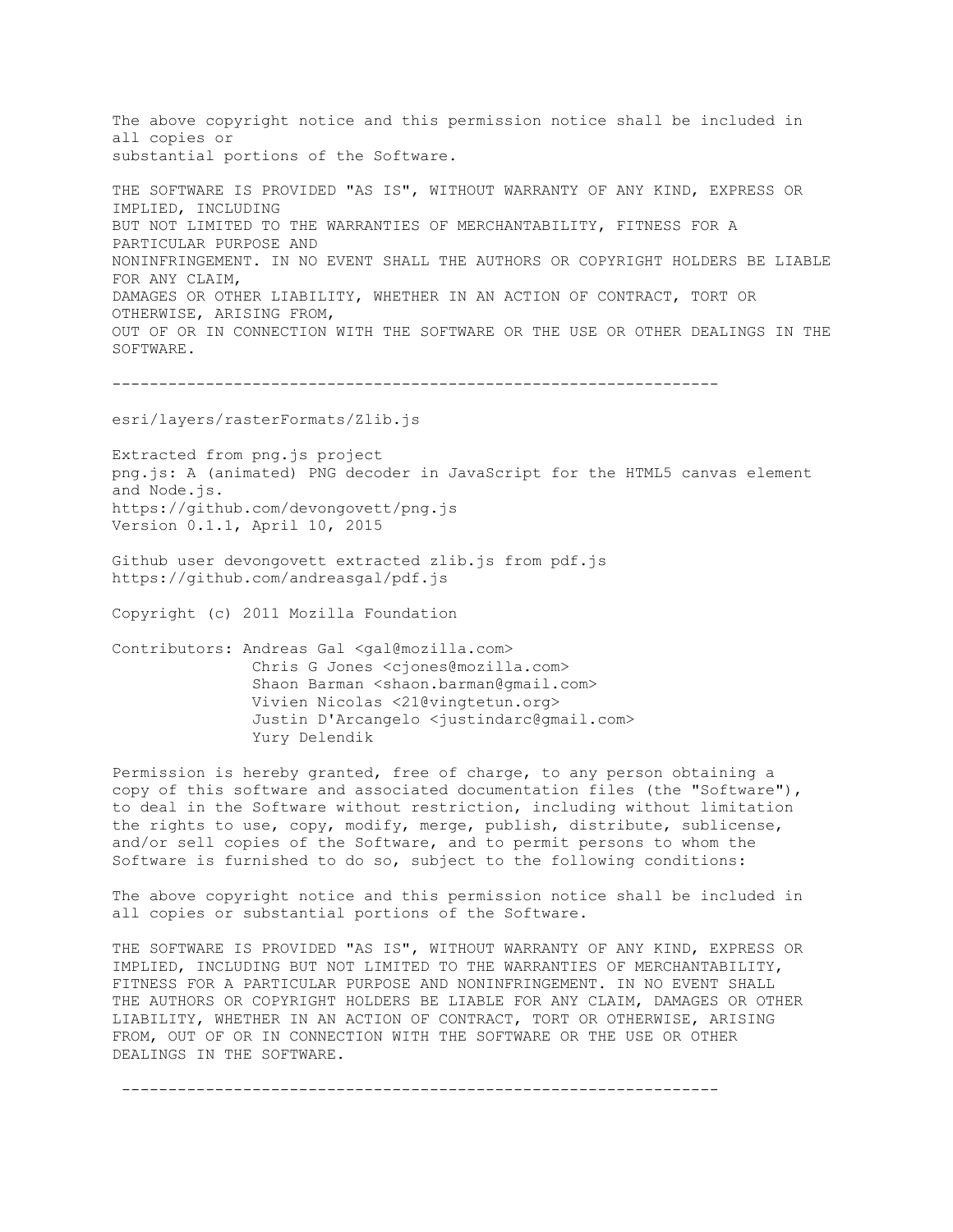The above copyright notice and this permission notice shall be included in all copies or substantial portions of the Software.

THE SOFTWARE IS PROVIDED "AS IS", WITHOUT WARRANTY OF ANY KIND, EXPRESS OR IMPLIED, INCLUDING BUT NOT LIMITED TO THE WARRANTIES OF MERCHANTABILITY, FITNESS FOR A PARTICULAR PURPOSE AND NONINFRINGEMENT. IN NO EVENT SHALL THE AUTHORS OR COPYRIGHT HOLDERS BE LIABLE FOR ANY CLAIM, DAMAGES OR OTHER LIABILITY, WHETHER IN AN ACTION OF CONTRACT, TORT OR OTHERWISE, ARISING FROM, OUT OF OR IN CONNECTION WITH THE SOFTWARE OR THE USE OR OTHER DEALINGS IN THE SOFTWARE.

-----------------------------------------------------------------

esri/layers/rasterFormats/Zlib.js

Extracted from png.js project png.js: A (animated) PNG decoder in JavaScript for the HTML5 canvas element and Node.js. https://github.com/devongovett/png.js Version 0.1.1, April 10, 2015

Github user devongovett extracted zlib.js from pdf.js https://github.com/andreasgal/pdf.js

Copyright (c) 2011 Mozilla Foundation

Contributors: Andreas Gal <gal@mozilla.com> Chris G Jones <cjones@mozilla.com> Shaon Barman <shaon.barman@gmail.com> Vivien Nicolas <21@vingtetun.org> Justin D'Arcangelo <justindarc@gmail.com> Yury Delendik

Permission is hereby granted, free of charge, to any person obtaining a copy of this software and associated documentation files (the "Software"), to deal in the Software without restriction, including without limitation the rights to use, copy, modify, merge, publish, distribute, sublicense, and/or sell copies of the Software, and to permit persons to whom the Software is furnished to do so, subject to the following conditions:

The above copyright notice and this permission notice shall be included in all copies or substantial portions of the Software.

THE SOFTWARE IS PROVIDED "AS IS", WITHOUT WARRANTY OF ANY KIND, EXPRESS OR IMPLIED, INCLUDING BUT NOT LIMITED TO THE WARRANTIES OF MERCHANTABILITY, FITNESS FOR A PARTICULAR PURPOSE AND NONINFRINGEMENT. IN NO EVENT SHALL THE AUTHORS OR COPYRIGHT HOLDERS BE LIABLE FOR ANY CLAIM, DAMAGES OR OTHER LIABILITY, WHETHER IN AN ACTION OF CONTRACT, TORT OR OTHERWISE, ARISING FROM, OUT OF OR IN CONNECTION WITH THE SOFTWARE OR THE USE OR OTHER DEALINGS IN THE SOFTWARE.

----------------------------------------------------------------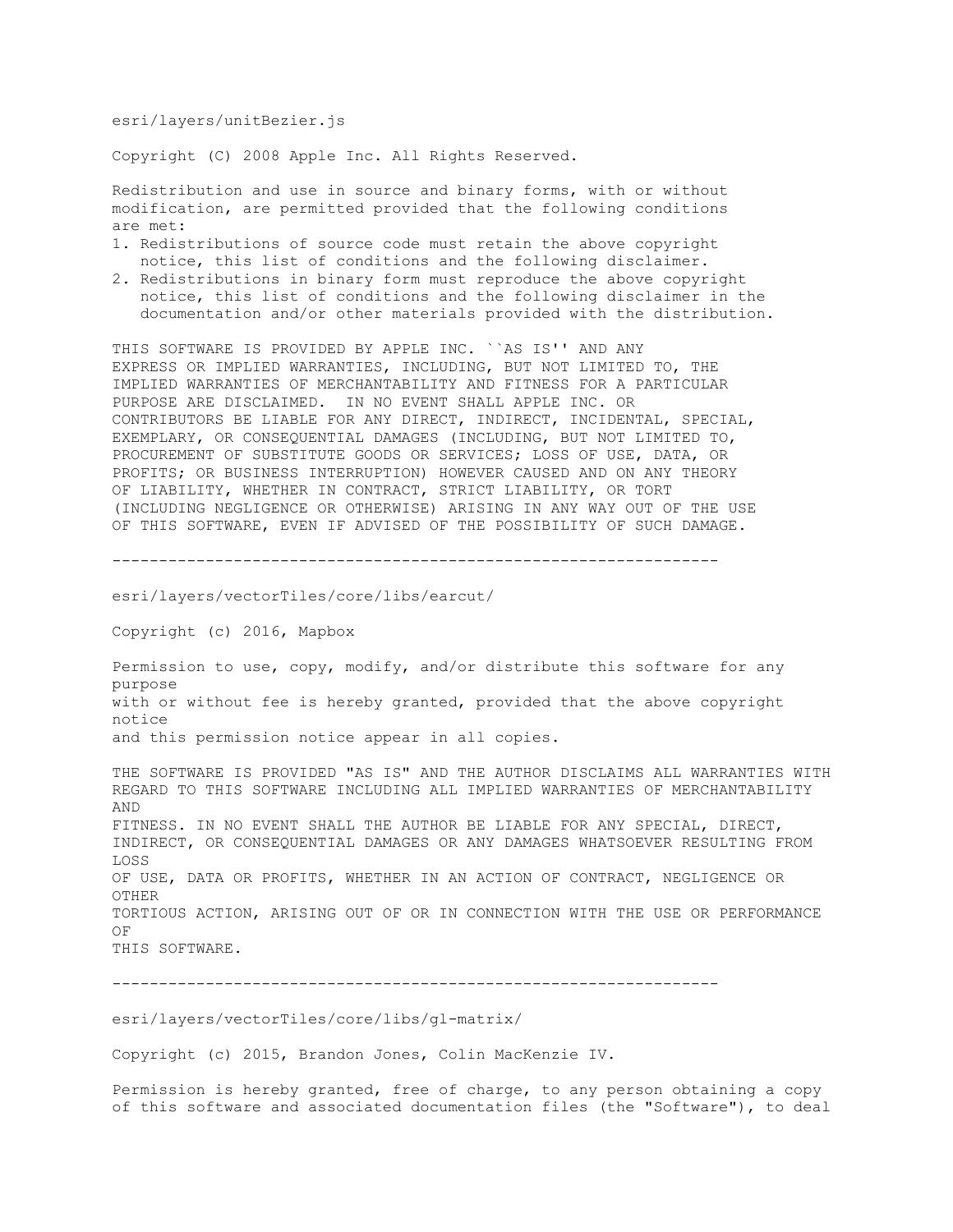esri/layers/unitBezier.js

Copyright (C) 2008 Apple Inc. All Rights Reserved.

Redistribution and use in source and binary forms, with or without modification, are permitted provided that the following conditions are met:

- 1. Redistributions of source code must retain the above copyright notice, this list of conditions and the following disclaimer.
- 2. Redistributions in binary form must reproduce the above copyright notice, this list of conditions and the following disclaimer in the documentation and/or other materials provided with the distribution.

THIS SOFTWARE IS PROVIDED BY APPLE INC. ``AS IS'' AND ANY EXPRESS OR IMPLIED WARRANTIES, INCLUDING, BUT NOT LIMITED TO, THE IMPLIED WARRANTIES OF MERCHANTABILITY AND FITNESS FOR A PARTICULAR PURPOSE ARE DISCLAIMED. IN NO EVENT SHALL APPLE INC. OR CONTRIBUTORS BE LIABLE FOR ANY DIRECT, INDIRECT, INCIDENTAL, SPECIAL, EXEMPLARY, OR CONSEQUENTIAL DAMAGES (INCLUDING, BUT NOT LIMITED TO, PROCUREMENT OF SUBSTITUTE GOODS OR SERVICES; LOSS OF USE, DATA, OR PROFITS; OR BUSINESS INTERRUPTION) HOWEVER CAUSED AND ON ANY THEORY OF LIABILITY, WHETHER IN CONTRACT, STRICT LIABILITY, OR TORT (INCLUDING NEGLIGENCE OR OTHERWISE) ARISING IN ANY WAY OUT OF THE USE OF THIS SOFTWARE, EVEN IF ADVISED OF THE POSSIBILITY OF SUCH DAMAGE.

-----------------------------------------------------------------

esri/layers/vectorTiles/core/libs/earcut/

Copyright (c) 2016, Mapbox

Permission to use, copy, modify, and/or distribute this software for any purpose with or without fee is hereby granted, provided that the above copyright notice and this permission notice appear in all copies.

THE SOFTWARE IS PROVIDED "AS IS" AND THE AUTHOR DISCLAIMS ALL WARRANTIES WITH REGARD TO THIS SOFTWARE INCLUDING ALL IMPLIED WARRANTIES OF MERCHANTABILITY AND FITNESS. IN NO EVENT SHALL THE AUTHOR BE LIABLE FOR ANY SPECIAL, DIRECT, INDIRECT, OR CONSEQUENTIAL DAMAGES OR ANY DAMAGES WHATSOEVER RESULTING FROM LOSS OF USE, DATA OR PROFITS, WHETHER IN AN ACTION OF CONTRACT, NEGLIGENCE OR OTHER TORTIOUS ACTION, ARISING OUT OF OR IN CONNECTION WITH THE USE OR PERFORMANCE OF THIS SOFTWARE.

-----------------------------------------------------------------

esri/layers/vectorTiles/core/libs/gl-matrix/

Copyright (c) 2015, Brandon Jones, Colin MacKenzie IV.

Permission is hereby granted, free of charge, to any person obtaining a copy of this software and associated documentation files (the "Software"), to deal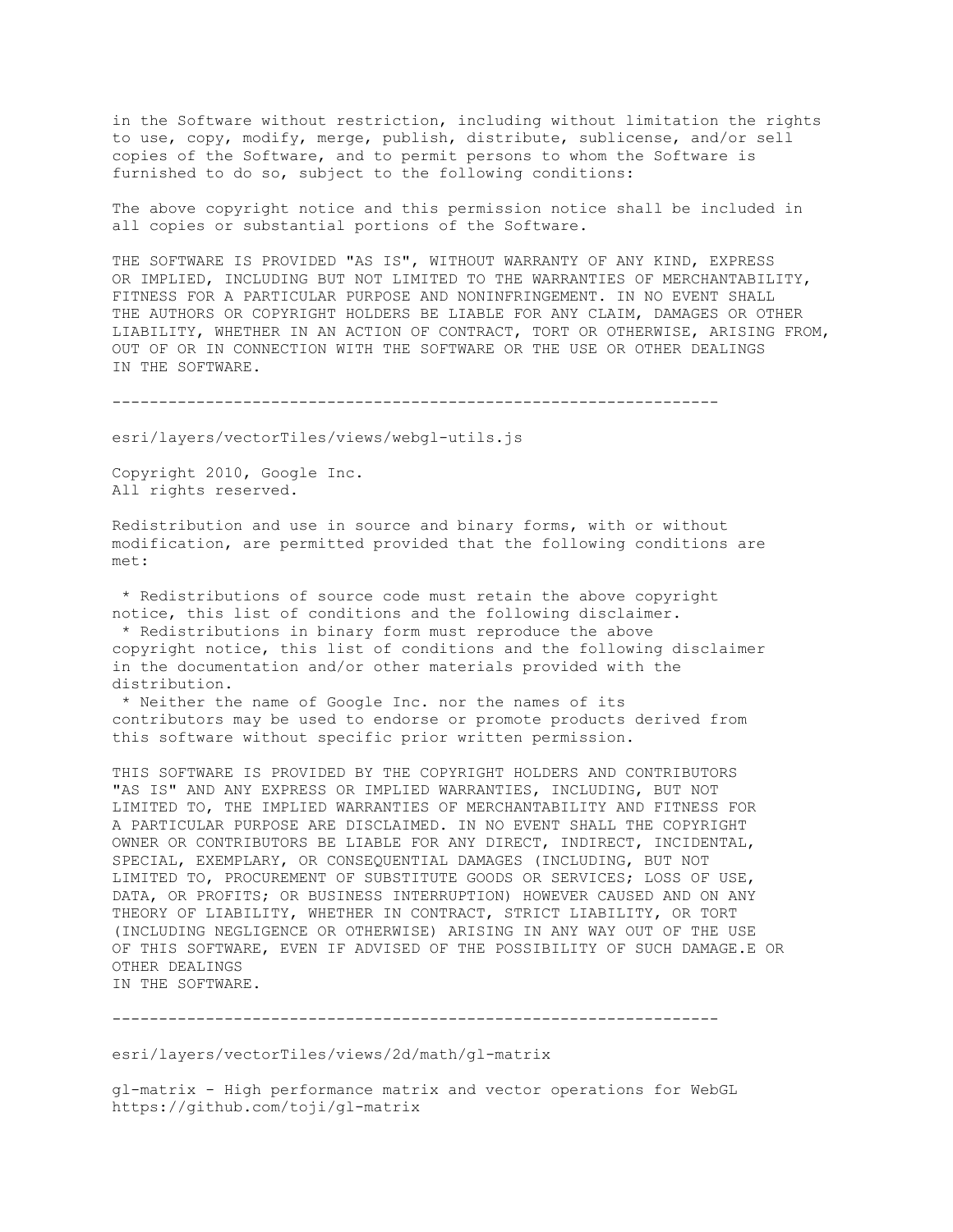in the Software without restriction, including without limitation the rights to use, copy, modify, merge, publish, distribute, sublicense, and/or sell copies of the Software, and to permit persons to whom the Software is furnished to do so, subject to the following conditions:

The above copyright notice and this permission notice shall be included in all copies or substantial portions of the Software.

THE SOFTWARE IS PROVIDED "AS IS", WITHOUT WARRANTY OF ANY KIND, EXPRESS OR IMPLIED, INCLUDING BUT NOT LIMITED TO THE WARRANTIES OF MERCHANTABILITY, FITNESS FOR A PARTICULAR PURPOSE AND NONINFRINGEMENT. IN NO EVENT SHALL THE AUTHORS OR COPYRIGHT HOLDERS BE LIABLE FOR ANY CLAIM, DAMAGES OR OTHER LIABILITY, WHETHER IN AN ACTION OF CONTRACT, TORT OR OTHERWISE, ARISING FROM, OUT OF OR IN CONNECTION WITH THE SOFTWARE OR THE USE OR OTHER DEALINGS IN THE SOFTWARE.

-----------------------------------------------------------------

esri/layers/vectorTiles/views/webgl-utils.js

Copyright 2010, Google Inc. All rights reserved.

Redistribution and use in source and binary forms, with or without modification, are permitted provided that the following conditions are met:

\* Redistributions of source code must retain the above copyright notice, this list of conditions and the following disclaimer.

\* Redistributions in binary form must reproduce the above copyright notice, this list of conditions and the following disclaimer in the documentation and/or other materials provided with the distribution.

\* Neither the name of Google Inc. nor the names of its contributors may be used to endorse or promote products derived from this software without specific prior written permission.

THIS SOFTWARE IS PROVIDED BY THE COPYRIGHT HOLDERS AND CONTRIBUTORS "AS IS" AND ANY EXPRESS OR IMPLIED WARRANTIES, INCLUDING, BUT NOT LIMITED TO, THE IMPLIED WARRANTIES OF MERCHANTABILITY AND FITNESS FOR A PARTICULAR PURPOSE ARE DISCLAIMED. IN NO EVENT SHALL THE COPYRIGHT OWNER OR CONTRIBUTORS BE LIABLE FOR ANY DIRECT, INDIRECT, INCIDENTAL, SPECIAL, EXEMPLARY, OR CONSEQUENTIAL DAMAGES (INCLUDING, BUT NOT LIMITED TO, PROCUREMENT OF SUBSTITUTE GOODS OR SERVICES; LOSS OF USE, DATA, OR PROFITS; OR BUSINESS INTERRUPTION) HOWEVER CAUSED AND ON ANY THEORY OF LIABILITY, WHETHER IN CONTRACT, STRICT LIABILITY, OR TORT (INCLUDING NEGLIGENCE OR OTHERWISE) ARISING IN ANY WAY OUT OF THE USE OF THIS SOFTWARE, EVEN IF ADVISED OF THE POSSIBILITY OF SUCH DAMAGE.E OR OTHER DEALINGS IN THE SOFTWARE.

-----------------------------------------------------------------

esri/layers/vectorTiles/views/2d/math/gl-matrix

gl-matrix - High performance matrix and vector operations for WebGL https://github.com/toji/gl-matrix